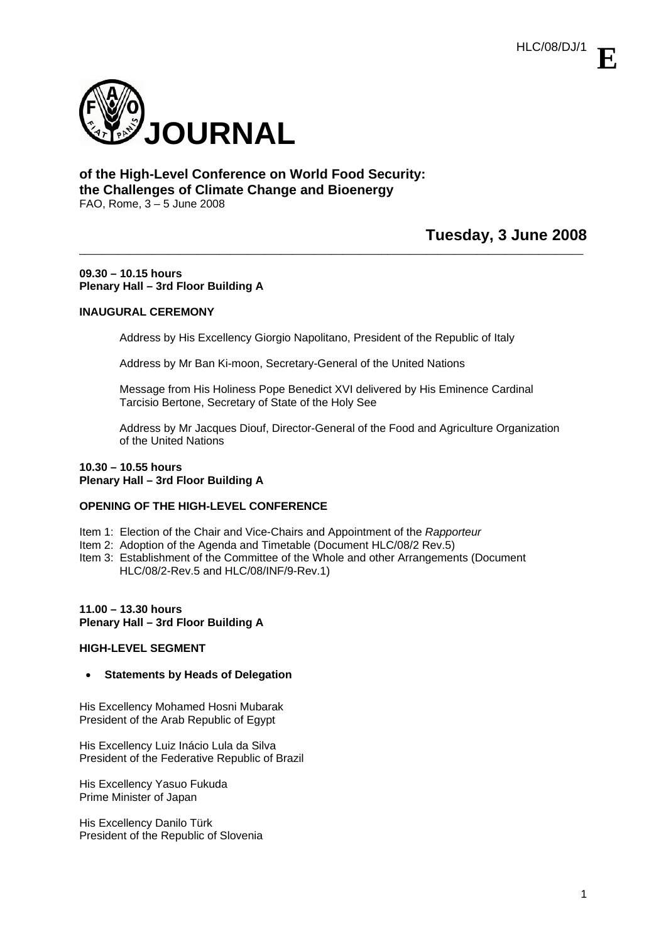

# **of the High-Level Conference on World Food Security: the Challenges of Climate Change and Bioenergy**  FAO, Rome, 3 – 5 June 2008

# **Tuesday, 3 June 2008**

#### **09.30 – 10.15 hours Plenary Hall – 3rd Floor Building A**

# **INAUGURAL CEREMONY**

Address by His Excellency Giorgio Napolitano, President of the Republic of Italy

\_\_\_\_\_\_\_\_\_\_\_\_\_\_\_\_\_\_\_\_\_\_\_\_\_\_\_\_\_\_\_\_\_\_\_\_\_\_\_\_\_\_\_\_\_\_\_\_\_\_\_\_\_\_\_\_\_\_\_\_\_\_\_\_\_\_\_\_\_\_\_\_\_\_\_\_\_\_\_\_\_\_\_\_\_\_\_\_\_\_

Address by Mr Ban Ki-moon, Secretary-General of the United Nations

Message from His Holiness Pope Benedict XVI delivered by His Eminence Cardinal Tarcisio Bertone, Secretary of State of the Holy See

Address by Mr Jacques Diouf, Director-General of the Food and Agriculture Organization of the United Nations

### **10.30 – 10.55 hours Plenary Hall – 3rd Floor Building A**

# **OPENING OF THE HIGH-LEVEL CONFERENCE**

- Item 1: Election of the Chair and Vice-Chairs and Appointment of the *Rapporteur*
- Item 2: Adoption of the Agenda and Timetable (Document HLC/08/2 Rev.5)
- Item 3: Establishment of the Committee of the Whole and other Arrangements (Document HLC/08/2-Rev.5 and HLC/08/INF/9-Rev.1)

# **11.00 – 13.30 hours Plenary Hall – 3rd Floor Building A**

# **HIGH-LEVEL SEGMENT**

• **Statements by Heads of Delegation** 

His Excellency Mohamed Hosni Mubarak President of the Arab Republic of Egypt

His Excellency Luiz Inácio Lula da Silva President of the Federative Republic of Brazil

His Excellency Yasuo Fukuda Prime Minister of Japan

His Excellency Danilo Türk President of the Republic of Slovenia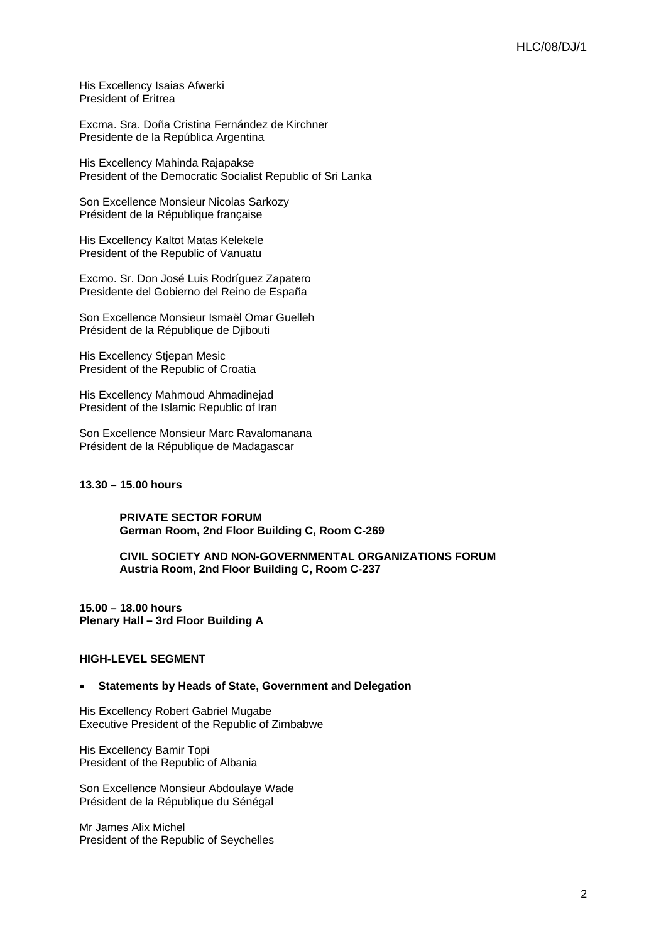His Excellency Isaias Afwerki President of Eritrea

Excma. Sra. Doña Cristina Fernández de Kirchner Presidente de la República Argentina

His Excellency Mahinda Rajapakse President of the Democratic Socialist Republic of Sri Lanka

Son Excellence Monsieur Nicolas Sarkozy Président de la République française

His Excellency Kaltot Matas Kelekele President of the Republic of Vanuatu

Excmo. Sr. Don José Luis Rodríguez Zapatero Presidente del Gobierno del Reino de España

Son Excellence Monsieur Ismaël Omar Guelleh Président de la République de Djibouti

His Excellency Stjepan Mesic President of the Republic of Croatia

His Excellency Mahmoud Ahmadinejad President of the Islamic Republic of Iran

Son Excellence Monsieur Marc Ravalomanana Président de la République de Madagascar

**13.30 – 15.00 hours** 

**PRIVATE SECTOR FORUM German Room, 2nd Floor Building C, Room C-269** 

**CIVIL SOCIETY AND NON-GOVERNMENTAL ORGANIZATIONS FORUM Austria Room, 2nd Floor Building C, Room C-237** 

**15.00 – 18.00 hours Plenary Hall – 3rd Floor Building A**

# **HIGH-LEVEL SEGMENT**

#### • **Statements by Heads of State, Government and Delegation**

His Excellency Robert Gabriel Mugabe Executive President of the Republic of Zimbabwe

His Excellency Bamir Topi President of the Republic of Albania

Son Excellence Monsieur Abdoulaye Wade Président de la République du Sénégal

Mr James Alix Michel President of the Republic of Seychelles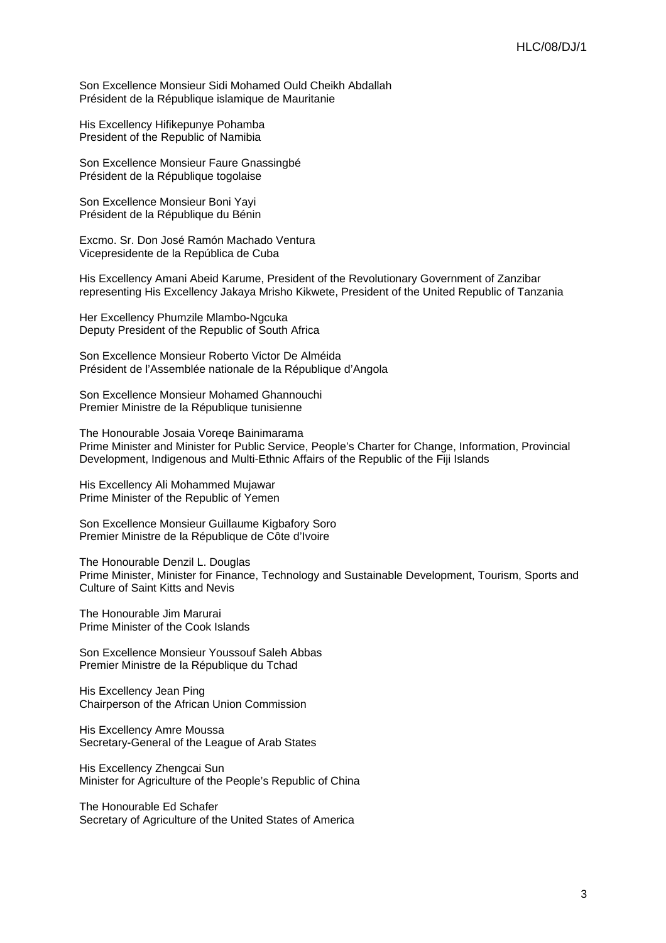Son Excellence Monsieur Sidi Mohamed Ould Cheikh Abdallah Président de la République islamique de Mauritanie

His Excellency Hifikepunye Pohamba President of the Republic of Namibia

Son Excellence Monsieur Faure Gnassingbé Président de la République togolaise

Son Excellence Monsieur Boni Yayi Président de la République du Bénin

Excmo. Sr. Don José Ramón Machado Ventura Vicepresidente de la República de Cuba

His Excellency Amani Abeid Karume, President of the Revolutionary Government of Zanzibar representing His Excellency Jakaya Mrisho Kikwete, President of the United Republic of Tanzania

Her Excellency Phumzile Mlambo-Ngcuka Deputy President of the Republic of South Africa

Son Excellence Monsieur Roberto Victor De Alméida Président de l'Assemblée nationale de la République d'Angola

Son Excellence Monsieur Mohamed Ghannouchi Premier Ministre de la République tunisienne

The Honourable Josaia Voreqe Bainimarama Prime Minister and Minister for Public Service, People's Charter for Change, Information, Provincial Development, Indigenous and Multi-Ethnic Affairs of the Republic of the Fiji Islands

His Excellency Ali Mohammed Mujawar Prime Minister of the Republic of Yemen

Son Excellence Monsieur Guillaume Kigbafory Soro Premier Ministre de la République de Côte d'Ivoire

The Honourable Denzil L. Douglas Prime Minister, Minister for Finance, Technology and Sustainable Development, Tourism, Sports and Culture of Saint Kitts and Nevis

The Honourable Jim Marurai Prime Minister of the Cook Islands

Son Excellence Monsieur Youssouf Saleh Abbas Premier Ministre de la République du Tchad

His Excellency Jean Ping Chairperson of the African Union Commission

His Excellency Amre Moussa Secretary-General of the League of Arab States

His Excellency Zhengcai Sun Minister for Agriculture of the People's Republic of China

The Honourable Ed Schafer Secretary of Agriculture of the United States of America